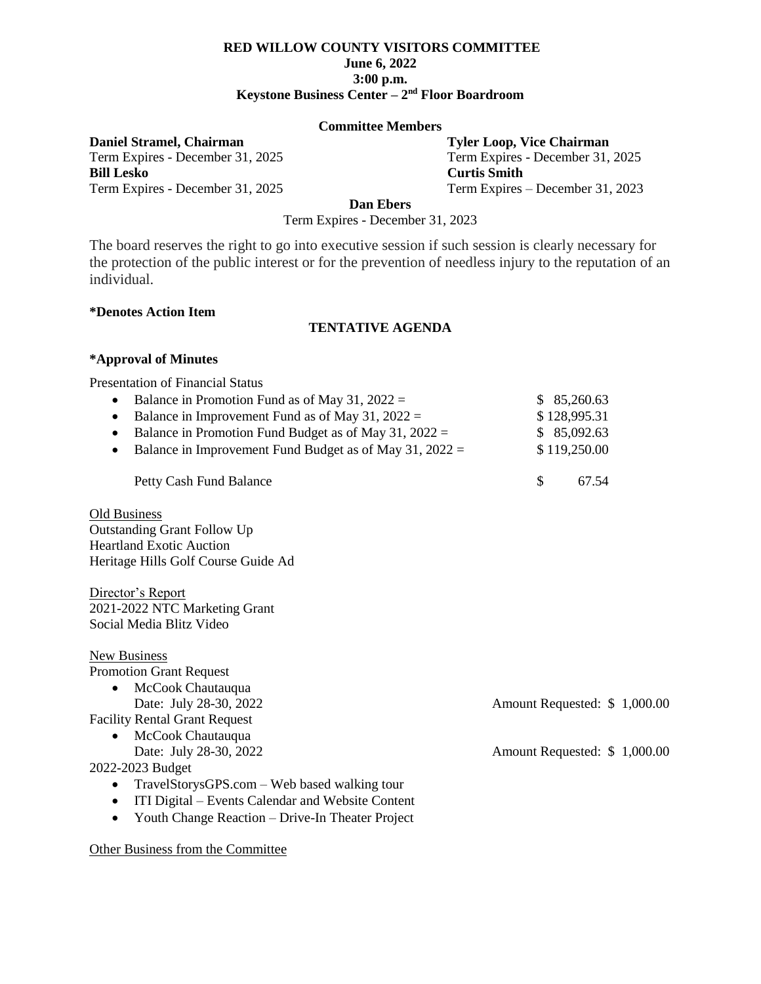# **RED WILLOW COUNTY VISITORS COMMITTEE June 6, 2022 3:00 p.m. Keystone Business Center – 2 nd Floor Boardroom**

#### **Committee Members**

Term Expires - December 31, 2025 **Bill Lesko Curtis Smith**

**Daniel Stramel, Chairman Tyler Loop, Vice Chairman Term Expires** - December 31, 2025 **Term Expires** - December 31, 2025 Term Expires - December 31, 2025 Term Expires – December 31, 2023

**Dan Ebers**

Term Expires - December 31, 2023

The board reserves the right to go into executive session if such session is clearly necessary for the protection of the public interest or for the prevention of needless injury to the reputation of an individual.

#### **\*Denotes Action Item**

### **TENTATIVE AGENDA**

#### **\*Approval of Minutes**

Presentation of Financial Status

| \$128,995.31<br>\$85,092.63<br>\$119,250.00<br>67.54 |
|------------------------------------------------------|
|                                                      |
|                                                      |
|                                                      |
|                                                      |
|                                                      |
|                                                      |
|                                                      |
|                                                      |
|                                                      |
|                                                      |
|                                                      |
|                                                      |
|                                                      |
|                                                      |
| Amount Requested: \$1,000.00                         |
|                                                      |
|                                                      |
| Amount Requested: \$1,000.00                         |
|                                                      |
|                                                      |
|                                                      |
|                                                      |
|                                                      |

Other Business from the Committee